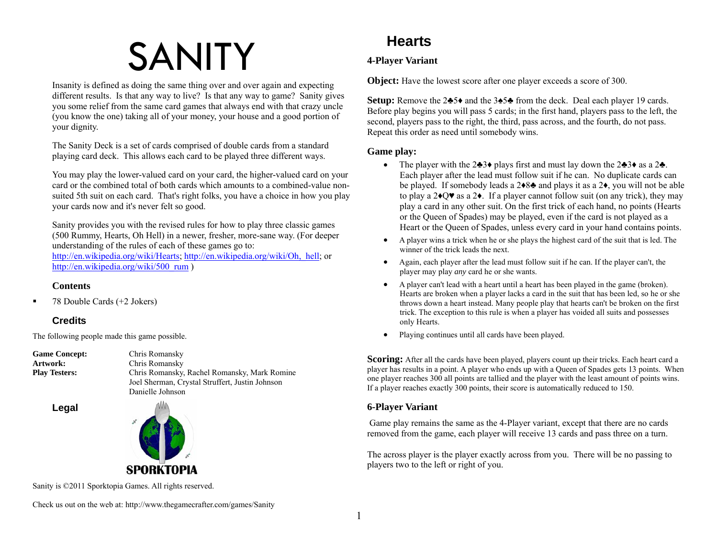# SANITY

Insanity is defined as doing the same thing over and over again and expecting different results. Is that any way to live? Is that any way to game? Sanity gives you some relief from the same card games that always end with that crazy uncle (you know the one) taking all of your money, your house and a good portion of your dignity.

The Sanity Deck is a set of cards comprised of double cards from a standard playing card deck. This allows each card to be played three different ways.

You may play the lower-valued card on your card, the higher-valued card on your card or the combined total of both cards which amounts to a combined-value nonsuited 5th suit on each card. That's right folks, you have a choice in how you play your cards now and it's never felt so good.

Sanity provides you with the revised rules for how to play three classic games (500 Rummy, Hearts, Oh Hell) in a newer, fresher, more-sane way. (For deeper understanding of the rules of each of these games go to: http://en.wikipedia.org/wiki/Hearts; http://en.wikipedia.org/wiki/Oh,\_hell; or http://en.wikipedia.org/wiki/500\_rum )

#### **Contents**

 $\blacksquare$ 78 Double Cards (+2 Jokers)

## **Credits**

The following people made this game possible.

| <b>Game Concept:</b> | Chris Romansky                                  |
|----------------------|-------------------------------------------------|
| Artwork:             | Chris Romansky                                  |
| <b>Play Testers:</b> | Chris Romansky, Rachel Romansky, Mark Romine    |
|                      | Joel Sherman, Crystal Struffert, Justin Johnson |
|                      | Danielle Johnson                                |
|                      |                                                 |

 **Legal** 



Sanity is ©2011 Sporktopia Games. All rights reserved.

Check us out on the web at: http://www.thegamecrafter.com/games/Sanity

## **Hearts**

## **4-Player Variant**

**Object:** Have the lowest score after one player exceeds a score of 300.

**Setup:** Remove the 2<del>≛5</del>♦ and the 3 $\blacktriangle$ 5 $\blacktriangle$  from the deck. Deal each player 19 cards. Before play begins you will pass 5 cards; in the first hand, players pass to the left, the second, players pass to the right, the third, pass across, and the fourth, do not pass. Repeat this order as need until somebody wins.

#### **Game play:**

- The player with the 2♣3♦ plays first and must lay down the 2♣3♦ as a 2♣. Each player after the lead must follow suit if he can. No duplicate cards can be played. If somebody leads a 2♦8♣ and plays it as a 2♦, you will not be able to play a  $2\cdot Q\mathbf{v}$  as a  $2\mathbf{v}$ . If a player cannot follow suit (on any trick), they may play a card in any other suit. On the first trick of each hand, no points (Hearts or the Queen of Spades) may be played, even if the card is not played as a Heart or the Queen of Spades, unless every card in your hand contains points.
- c A player wins a trick when he or she plays the highest card of the suit that is led. The winner of the trick leads the next.
- Again, each player after the lead must follow suit if he can. If the player can't, the player may play *any* card he or she wants.
- A player can't lead with a heart until a heart has been played in the game (broken). Hearts are broken when a player lacks a card in the suit that has been led, so he or she throws down a heart instead. Many people play that hearts can't be broken on the first trick. The exception to this rule is when a player has voided all suits and possesses only Hearts.
- $\bullet$ Playing continues until all cards have been played.

**Scoring:** After all the cards have been played, players count up their tricks. Each heart card a player has results in a point. A player who ends up with a Queen of Spades gets 13 points. When one player reaches 300 all points are tallied and the player with the least amount of points wins. If a player reaches exactly 300 points, their score is automatically reduced to 150.

### **6-Player Variant**

 Game play remains the same as the 4-Player variant, except that there are no cards removed from the game, each player will receive 13 cards and pass three on a turn.

The across player is the player exactly across from you. There will be no passing to players two to the left or right of you.